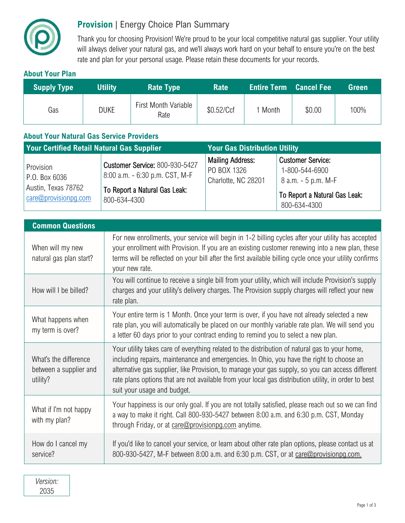

## **Provision** | Energy Choice Plan Summary

Thank you for choosing Provision! We're proud to be your local competitive natural gas supplier. Your utility will always deliver your natural gas, and we'll always work hard on your behalf to ensure you're on the best rate and plan for your personal usage. Please retain these documents for your records.

## **About Your Plan**

| Supply Type | <b>Utility</b> | <b>Rate Type</b>                    | <b>Rate</b> | <b>Entire Term Cancel Fee</b> |        | Green |
|-------------|----------------|-------------------------------------|-------------|-------------------------------|--------|-------|
| Gas         | <b>DUKE</b>    | <b>First Month Variable</b><br>Rate | \$0.52/Ccf  | l Month                       | \$0.00 | 100%  |

## **About Your Natural Gas Service Providers**

| <b>Your Certified Retail Natural Gas Supplier</b>                                |                                                                                                                          | <b>Your Gas Distribution Utility</b>                          |                                                                                                                    |  |
|----------------------------------------------------------------------------------|--------------------------------------------------------------------------------------------------------------------------|---------------------------------------------------------------|--------------------------------------------------------------------------------------------------------------------|--|
| Provision<br>P.O. Box 6036<br>Austin, Texas 78762<br>$\alpha$ re@provisionpq.com | <b>Customer Service: 800-930-5427</b><br>8:00 a.m. - 6:30 p.m. CST, M-F<br>To Report a Natural Gas Leak:<br>800-634-4300 | <b>Mailing Address:</b><br>PO BOX 1326<br>Charlotte, NC 28201 | <b>Customer Service:</b><br>1-800-544-6900<br>8 a.m. - 5 p.m. M-F<br>To Report a Natural Gas Leak:<br>800-634-4300 |  |

| <b>Common Questions</b>                                     |                                                                                                                                                                                                                                                                                                                                                                                                                                       |  |  |  |
|-------------------------------------------------------------|---------------------------------------------------------------------------------------------------------------------------------------------------------------------------------------------------------------------------------------------------------------------------------------------------------------------------------------------------------------------------------------------------------------------------------------|--|--|--|
| When will my new<br>natural gas plan start?                 | For new enrollments, your service will begin in 1-2 billing cycles after your utility has accepted<br>your enrollment with Provision. If you are an existing customer renewing into a new plan, these<br>terms will be reflected on your bill after the first available billing cycle once your utility confirms<br>your new rate.                                                                                                    |  |  |  |
| How will I be billed?                                       | You will continue to receive a single bill from your utility, which will include Provision's supply<br>charges and your utility's delivery charges. The Provision supply charges will reflect your new<br>rate plan.                                                                                                                                                                                                                  |  |  |  |
| What happens when<br>my term is over?                       | Your entire term is 1 Month. Once your term is over, if you have not already selected a new<br>rate plan, you will automatically be placed on our monthly variable rate plan. We will send you<br>a letter 60 days prior to your contract ending to remind you to select a new plan.                                                                                                                                                  |  |  |  |
| What's the difference<br>between a supplier and<br>utility? | Your utility takes care of everything related to the distribution of natural gas to your home,<br>including repairs, maintenance and emergencies. In Ohio, you have the right to choose an<br>alternative gas supplier, like Provision, to manage your gas supply, so you can access different<br>rate plans options that are not available from your local gas distribution utility, in order to best<br>suit your usage and budget. |  |  |  |
| What if I'm not happy<br>with my plan?                      | Your happiness is our only goal. If you are not totally satisfied, please reach out so we can find<br>a way to make it right. Call 800-930-5427 between 8:00 a.m. and 6:30 p.m. CST, Monday<br>through Friday, or at care@provisionpg.com anytime.                                                                                                                                                                                    |  |  |  |
| How do I cancel my<br>service?                              | If you'd like to cancel your service, or learn about other rate plan options, please contact us at<br>800-930-5427, M-F between 8:00 a.m. and 6:30 p.m. CST, or at care@provisionpg.com.                                                                                                                                                                                                                                              |  |  |  |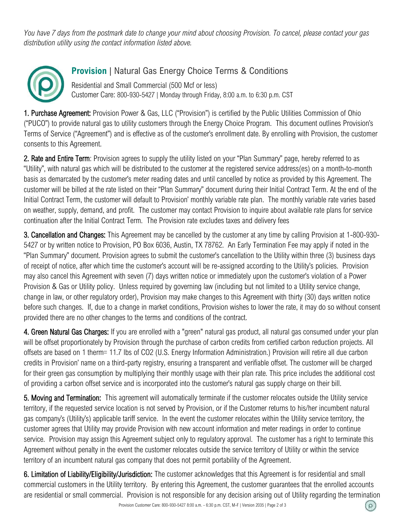*You have 7 days from the postmark date to change your mind about choosing Provision. To cancel, please contact your gas distribution utility using the contact information listed above.* 



## **Provision** | Natural Gas Energy Choice Terms & Conditions

Residential and Small Commercial (500 Mcf or less) Customer Care: 800-930-5427 | Monday through Friday, 8:00 a.m. to 6:30 p.m. CST

1. Purchase Agreement: Provision Power & Gas, LLC ("Provision") is certified by the Public Utilities Commission of Ohio ("PUCO") to provide natural gas to utility customers through the Energy Choice Program. This document outlines Provision's Terms of Service ("Agreement") and is effective as of the customer's enrollment date. By enrolling with Provision, the customer consents to this Agreement.

2. Rate and Entire Term: Provision agrees to supply the utility listed on your "Plan Summary" page, hereby referred to as "Utility", with natural gas which will be distributed to the customer at the registered service address(es) on a month-to-month basis as demarcated by the customer's meter reading dates and until cancelled by notice as provided by this Agreement. The customer will be billed at the rate listed on their "Plan Summary" document during their Initial Contract Term. At the end of the Initial Contract Term, the customer will default to Provision' monthly variable rate plan. The monthly variable rate varies based on weather, supply, demand, and profit. The customer may contact Provision to inquire about available rate plans for service continuation after the Initial Contract Term. The Provision rate excludes taxes and delivery fees

3. Cancellation and Changes: This Agreement may be cancelled by the customer at any time by calling Provision at 1-800-930- 5427 or by written notice to Provision, PO Box 6036, Austin, TX 78762. An Early Termination Fee may apply if noted in the "Plan Summary" document. Provision agrees to submit the customer's cancellation to the Utility within three (3) business days of receipt of notice, after which time the customer's account will be re-assigned according to the Utility's policies. Provision may also cancel this Agreement with seven (7) days written notice or immediately upon the customer's violation of a Power Provision & Gas or Utility policy. Unless required by governing law (including but not limited to a Utility service change, change in law, or other regulatory order), Provision may make changes to this Agreement with thirty (30) days written notice before such changes. If, due to a change in market conditions, Provision wishes to lower the rate, it may do so without consent provided there are no other changes to the terms and conditions of the contract.

4. Green Natural Gas Charges: If you are enrolled with a "green" natural gas product, all natural gas consumed under your plan will be offset proportionately by Provision through the purchase of carbon credits from certified carbon reduction projects. All offsets are based on 1 therm= 11.7 lbs of CO2 (U.S. Energy Information Administration.) Provision will retire all due carbon credits in Provision' name on a third-party registry, ensuring a transparent and verifiable offset. The customer will be charged for their green gas consumption by multiplying their monthly usage with their plan rate. This price includes the additional cost of providing a carbon offset service and is incorporated into the customer's natural gas supply charge on their bill.

5. Moving and Termination: This agreement will automatically terminate if the customer relocates outside the Utility service territory, if the requested service location is not served by Provision, or if the Customer returns to his/her incumbent natural gas company's (Utility's) applicable tariff service. In the event the customer relocates within the Utility service territory, the customer agrees that Utility may provide Provision with new account information and meter readings in order to continue service. Provision may assign this Agreement subject only to regulatory approval. The customer has a right to terminate this Agreement without penalty in the event the customer relocates outside the service territory of Utility or within the service territory of an incumbent natural gas company that does not permit portability of the Agreement.

6. Limitation of Liability/Eligibility/Jurisdiction: The customer acknowledges that this Agreement is for residential and small commercial customers in the Utility territory. By entering this Agreement, the customer guarantees that the enrolled accounts are residential or small commercial. Provision is not responsible for any decision arising out of Utility regarding the termination

(၉)